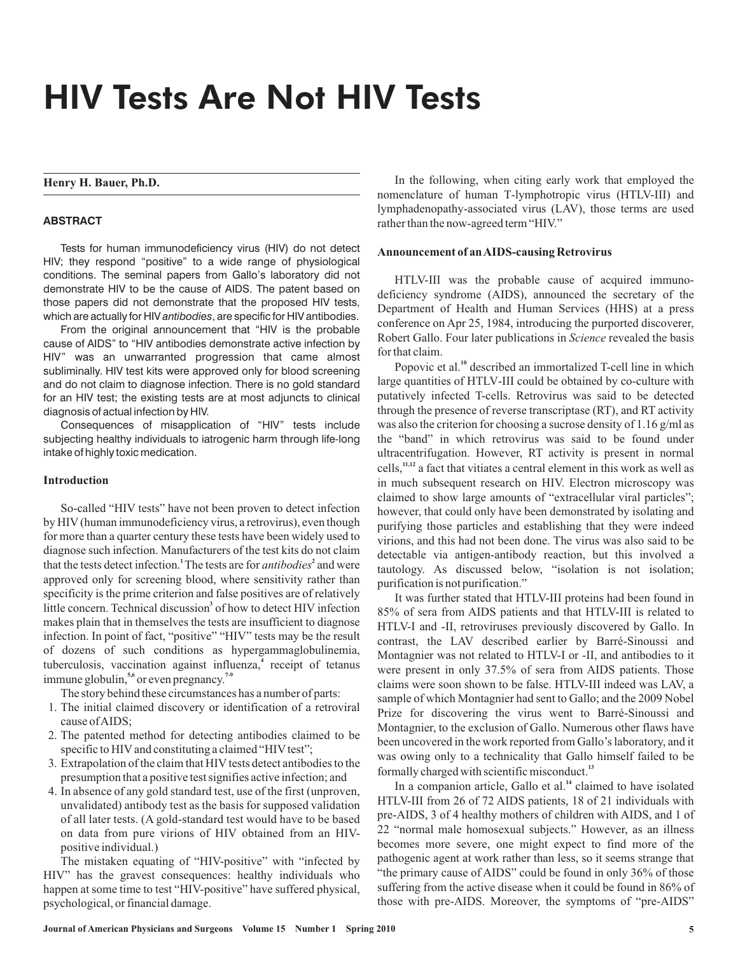# HIV Tests Are Not HIV Tests

# **Henry H. Bauer, Ph.D.**

## **ABSTRACT**

Tests for human immunodeficiency virus (HIV) do not detect HIV; they respond "positive" to a wide range of physiological conditions. The seminal papers from Gallo's laboratory did not demonstrate HIV to be the cause of AIDS. The patent based on those papers did not demonstrate that the proposed HIV tests, which are actually for HIV *antibodies*, are specific for HIV antibodies.

From the original announcement that "HIV is the probable cause of AIDS" to "HIV antibodies demonstrate active infection by HIV" was an unwarranted progression that came almost subliminally. HIV test kits were approved only for blood screening and do not claim to diagnose infection. There is no gold standard for an HIV test; the existing tests are at most adjuncts to clinical diagnosis of actual infection by HIV.

Consequences of misapplication of "HIV" tests include subjecting healthy individuals to iatrogenic harm through life-long intake of highly toxic medication.

## **Introduction**

So-called "HIV tests" have not been proven to detect infection by HIV (human immunodeficiency virus, a retrovirus), even though for more than a quarter century these tests have been widely used to diagnose such infection. Manufacturers of the test kits do not claim that the tests detect infection.<sup>1</sup> The tests are for *antibodies*<sup>2</sup> and were approved only for screening blood, where sensitivity rather than specificity is the prime criterion and false positives are of relatively little concern. Technical discussion<sup>3</sup> of how to detect HIV infection makes plain that in themselves the tests are insufficient to diagnose infection. In point of fact, "positive" "HIV" tests may be the result of dozens of such conditions as hypergammaglobulinemia, tuberculosis, vaccination against influenza,<sup>4</sup> receipt of tetanus immune globulin,<sup>5,6</sup> or even pregnancy.<sup>7-9</sup>

- The story behind these circumstances has a number of parts:
- 1. The initial claimed discovery or identification of a retroviral cause ofAIDS;
- 2. The patented method for detecting antibodies claimed to be specific to HIV and constituting a claimed "HIV test";
- 3. Extrapolation of the claim that HIV tests detect antibodies to the presumption that a positive test signifies active infection; and
- 4. In absence of any gold standard test, use of the first (unproven, unvalidated) antibody test as the basis for supposed validation of all later tests. (A gold-standard test would have to be based on data from pure virions of HIV obtained from an HIVpositive individual.)

The mistaken equating of "HIV-positive" with "infected by HIV" has the gravest consequences: healthy individuals who happen at some time to test "HIV-positive" have suffered physical, psychological, or financial damage.

In the following, when citing early work that employed the nomenclature of human T-lymphotropic virus (HTLV-III) and lymphadenopathy-associated virus (LAV), those terms are used rather than the now-agreed term "HIV."

#### **Announcement of anAIDS-causing Retrovirus**

HTLV-III was the probable cause of acquired immunodeficiency syndrome (AIDS), announced the secretary of the Department of Health and Human Services (HHS) at a press conference on Apr 25, 1984, introducing the purported discoverer, Robert Gallo. Four later publications in *Science* revealed the basis for that claim.

Popovic et al.<sup>10</sup> described an immortalized T-cell line in which large quantities of HTLV-III could be obtained by co-culture with putatively infected T-cells. Retrovirus was said to be detected through the presence of reverse transcriptase (RT), and RT activity was also the criterion for choosing a sucrose density of 1.16 g/ml as the "band" in which retrovirus was said to be found under ultracentrifugation. However, RT activity is present in normal cells,<sup>11,12</sup> a fact that vitiates a central element in this work as well as in much subsequent research on HIV. Electron microscopy was claimed to show large amounts of "extracellular viral particles"; however, that could only have been demonstrated by isolating and purifying those particles and establishing that they were indeed virions, and this had not been done. The virus was also said to be detectable via antigen-antibody reaction, but this involved a tautology. As discussed below, "isolation is not isolation; purification is not purification."

It was further stated that HTLV-III proteins had been found in 85% of sera from AIDS patients and that HTLV-III is related to HTLV-I and -II, retroviruses previously discovered by Gallo. In contrast, the LAV described earlier by Barré-Sinoussi and Montagnier was not related to HTLV-I or -II, and antibodies to it were present in only 37.5% of sera from AIDS patients. Those claims were soon shown to be false. HTLV-III indeed was LAV, a sample of which Montagnier had sent to Gallo; and the 2009 Nobel Prize for discovering the virus went to Barré-Sinoussi and Montagnier, to the exclusion of Gallo. Numerous other flaws have been uncovered in the work reported from Gallo's laboratory, and it was owing only to a technicality that Gallo himself failed to be formally charged with scientific misconduct. **13**

In a companion article, Gallo et al.<sup>14</sup> claimed to have isolated HTLV-III from 26 of 72 AIDS patients, 18 of 21 individuals with pre-AIDS, 3 of 4 healthy mothers of children with AIDS, and 1 of 22 "normal male homosexual subjects." However, as an illness becomes more severe, one might expect to find more of the pathogenic agent at work rather than less, so it seems strange that "the primary cause of AIDS" could be found in only 36% of those suffering from the active disease when it could be found in 86% of those with pre-AIDS. Moreover, the symptoms of "pre-AIDS"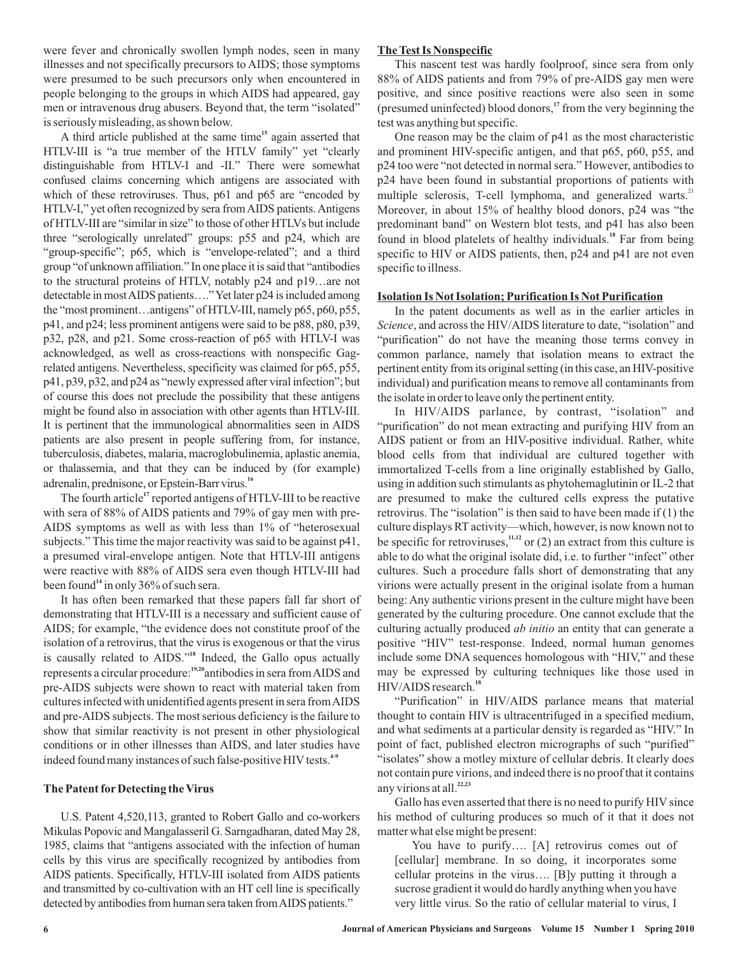were fever and chronically swollen lymph nodes, seen in many illnesses and not specifically precursors to AIDS; those symptoms were presumed to be such precursors only when encountered in people belonging to the groups in which AIDS had appeared, gay men or intravenous drug abusers. Beyond that, the term "isolated" is seriously misleading, as shown below.

A third article published at the same time<sup>15</sup> again asserted that HTLV-III is "a true member of the HTLV family" yet "clearly distinguishable from HTLV-I and -II." There were somewhat confused claims concerning which antigens are associated with which of these retroviruses. Thus, p61 and p65 are "encoded by HTLV-I," yet often recognized by sera fromAIDS patients.Antigens of HTLV-III are "similar in size" to those of other HTLVs but include three "serologically unrelated" groups: p55 and p24, which are "group-specific"; p65, which is "envelope-related"; and a third group "of unknown affiliation." In one place it is said that "antibodies to the structural proteins of HTLV, notably p24 and p19…are not detectable in mostAIDS patients…."Yet later p24 is included among the "most prominent…antigens" of HTLV-III, namely p65, p60, p55, p41, and p24; less prominent antigens were said to be p88, p80, p39, p32, p28, and p21. Some cross-reaction of p65 with HTLV-I was acknowledged, as well as cross-reactions with nonspecific Gagrelated antigens. Nevertheless, specificity was claimed for p65, p55, p41, p39, p32, and p24 as "newly expressed after viral infection"; but of course this does not preclude the possibility that these antigens might be found also in association with other agents than HTLV-III. It is pertinent that the immunological abnormalities seen in AIDS patients are also present in people suffering from, for instance, tuberculosis, diabetes, malaria, macroglobulinemia, aplastic anemia, or thalassemia, and that they can be induced by (for example) adrenalin, prednisone, or Epstein-Barr virus. **16**

The fourth article<sup>17</sup> reported antigens of HTLV-III to be reactive with sera of 88% of AIDS patients and 79% of gay men with pre-AIDS symptoms as well as with less than 1% of "heterosexual subjects." This time the major reactivity was said to be against p41, a presumed viral-envelope antigen. Note that HTLV-III antigens were reactive with 88% of AIDS sera even though HTLV-III had been found<sup>14</sup> in only 36% of such sera.

It has often been remarked that these papers fall far short of demonstrating that HTLV-III is a necessary and sufficient cause of AIDS; for example, "the evidence does not constitute proof of the isolation of a retrovirus, that the virus is exogenous or that the virus is causally related to AIDS."<sup>18</sup> Indeed, the Gallo opus actually represents a circular procedure:<sup>19,20</sup>antibodies in sera from AIDS and pre-AIDS subjects were shown to react with material taken from cultures infected with unidentified agents present in sera fromAIDS and pre-AIDS subjects. The most serious deficiency is the failure to show that similar reactivity is not present in other physiological conditions or in other illnesses than AIDS, and later studies have indeed found many instances of such false-positive HIV tests. **4-9**

## **The Patent for Detecting the Virus**

U.S. Patent 4,520,113, granted to Robert Gallo and co-workers Mikulas Popovic and Mangalasseril G. Sarngadharan, dated May 28, 1985, claims that "antigens associated with the infection of human cells by this virus are specifically recognized by antibodies from AIDS patients. Specifically, HTLV-III isolated from AIDS patients and transmitted by co-cultivation with an HT cell line is specifically detected by antibodies from human sera taken fromAIDS patients."

# **The Test Is Nonspecific**

This nascent test was hardly foolproof, since sera from only 88% of AIDS patients and from 79% of pre-AIDS gay men were positive, and since positive reactions were also seen in some (presumed uninfected) blood donors,<sup>17</sup> from the very beginning the test was anything but specific.

One reason may be the claim of p41 as the most characteristic and prominent HIV-specific antigen, and that p65, p60, p55, and p24 too were "not detected in normal sera." However, antibodies to p24 have been found in substantial proportions of patients with multiple sclerosis, T-cell lymphoma, and generalized warts.<sup>21</sup> Moreover, in about 15% of healthy blood donors, p24 was "the predominant band" on Western blot tests, and p41 has also been found in blood platelets of healthy individuals.<sup>18</sup> Far from being specific to HIV or AIDS patients, then, p24 and p41 are not even specific to illness.

## **Isolation Is Not Isolation; Purification Is Not Purification**

In the patent documents as well as in the earlier articles in Science, and across the HIV/AIDS literature to date, "isolation" and "purification" do not have the meaning those terms convey in common parlance, namely that isolation means to extract the pertinent entity from its original setting (in this case, an HIV-positive individual) and purification means to remove all contaminants from the isolate in order to leave only the pertinent entity.

In HIV/AIDS parlance, by contrast, "isolation" and "purification" do not mean extracting and purifying HIV from an AIDS patient or from an HIV-positive individual. Rather, white blood cells from that individual are cultured together with immortalized T-cells from a line originally established by Gallo, using in addition such stimulants as phytohemaglutinin or IL-2 that are presumed to make the cultured cells express the putative retrovirus. The "isolation" is then said to have been made if  $(1)$  the culture displays RT activity—which, however, is now known not to be specific for retroviruses,  $n,1,12}$  or (2) an extract from this culture is able to do what the original isolate did, i.e. to further "infect" other cultures. Such a procedure falls short of demonstrating that any virions were actually present in the original isolate from a human being: Any authentic virions present in the culture might have been generated by the culturing procedure. One cannot exclude that the culturing actually produced *ab initio* an entity that can generate a positive "HIV" test-response. Indeed, normal human genomes include some DNA sequences homologous with "HIV," and these may be expressed by culturing techniques like those used in HIV/AIDS research. **18**

"Purification" in HIV/AIDS parlance means that material thought to contain HIV is ultracentrifuged in a specified medium, and what sediments at a particular density is regarded as "HIV." In point of fact, published electron micrographs of such "purified" "isolates" show a motley mixture of cellular debris. It clearly does not contain pure virions, and indeed there is no proof that it contains any virions at all. **22,23**

Gallo has even asserted that there is no need to purify HIV since his method of culturing produces so much of it that it does not matter what else might be present:

You have to purify…. [A] retrovirus comes out of [cellular] membrane. In so doing, it incorporates some cellular proteins in the virus…. [B]y putting it through a sucrose gradient it would do hardly anything when you have very little virus. So the ratio of cellular material to virus, I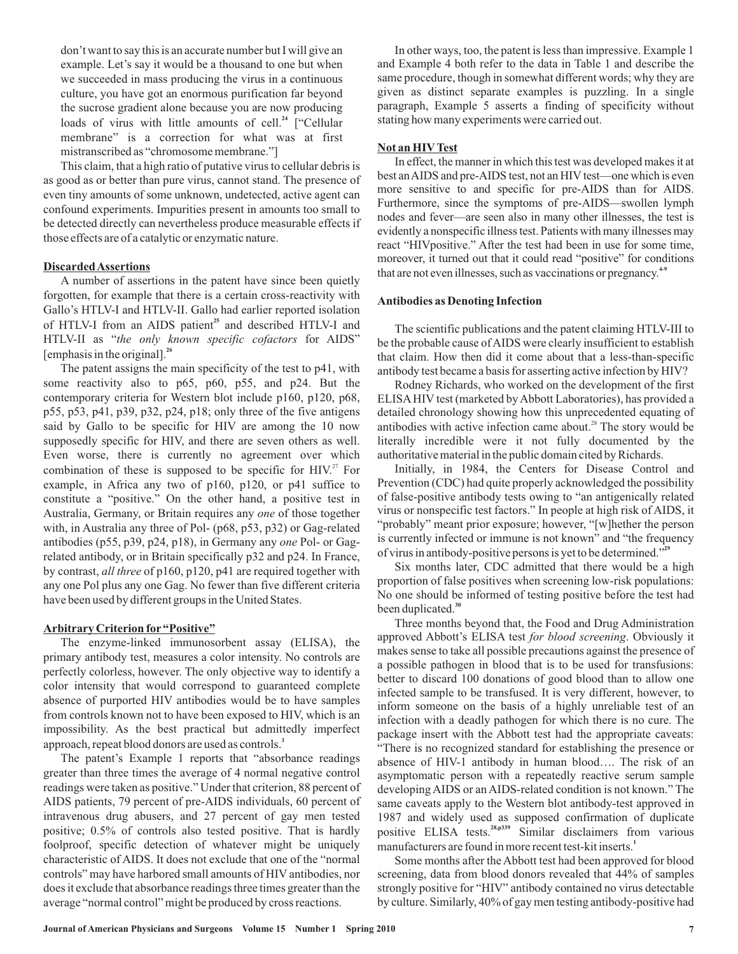don't want to say this is an accurate number but I will give an example. Let's say it would be a thousand to one but when we succeeded in mass producing the virus in a continuous culture, you have got an enormous purification far beyond the sucrose gradient alone because you are now producing loads of virus with little amounts of cell.<sup>24</sup> ["Cellular membrane" is a correction for what was at first mistranscribed as "chromosome membrane."]

This claim, that a high ratio of putative virus to cellular debris is as good as or better than pure virus, cannot stand. The presence of even tiny amounts of some unknown, undetected, active agent can confound experiments. Impurities present in amounts too small to be detected directly can nevertheless produce measurable effects if those effects are of a catalytic or enzymatic nature.

#### **DiscardedAssertions**

A number of assertions in the patent have since been quietly forgotten, for example that there is a certain cross-reactivity with Gallo's HTLV-I and HTLV-II. Gallo had earlier reported isolation of HTLV-I from an AIDS patient<sup>25</sup> and described HTLV-I and HTLV-II as "the only known specific cofactors for AIDS" [emphasis in the original]. **26**

The patent assigns the main specificity of the test to p41, with some reactivity also to p65, p60, p55, and p24. But the contemporary criteria for Western blot include p160, p120, p68, p55, p53, p41, p39, p32, p24, p18; only three of the five antigens said by Gallo to be specific for HIV are among the 10 now supposedly specific for HIV, and there are seven others as well. Even worse, there is currently no agreement over which combination of these is supposed to be specific for  $HIV<sup>27</sup>$  For example, in Africa any two of p160, p120, or p41 suffice to constitute a "positive." On the other hand, a positive test in Australia, Germany, or Britain requires any one of those together with, in Australia any three of Pol- (p68, p53, p32) or Gag-related antibodies (p55, p39, p24, p18), in Germany any one Pol- or Gagrelated antibody, or in Britain specifically p32 and p24. In France, by contrast, all three of p160, p120, p41 are required together with any one Pol plus any one Gag. No fewer than five different criteria have been used by different groups in the United States.

# **Arbitrary Criterion for "Positive"**

The enzyme-linked immunosorbent assay (ELISA), the primary antibody test, measures a color intensity. No controls are perfectly colorless, however. The only objective way to identify a color intensity that would correspond to guaranteed complete absence of purported HIV antibodies would be to have samples from controls known not to have been exposed to HIV, which is an impossibility. As the best practical but admittedly imperfect approach, repeat blood donors are used as controls. **3**

The patent's Example 1 reports that "absorbance readings greater than three times the average of 4 normal negative control readings were taken as positive." Under that criterion, 88 percent of AIDS patients, 79 percent of pre-AIDS individuals, 60 percent of intravenous drug abusers, and 27 percent of gay men tested positive; 0.5% of controls also tested positive. That is hardly foolproof, specific detection of whatever might be uniquely characteristic of AIDS. It does not exclude that one of the "normal controls" may have harbored small amounts of HIV antibodies, nor does it exclude that absorbance readings three times greater than the average "normal control" might be produced by cross reactions.

In other ways, too, the patent is less than impressive. Example 1 and Example 4 both refer to the data in Table 1 and describe the same procedure, though in somewhat different words; why they are given as distinct separate examples is puzzling. In a single paragraph, Example 5 asserts a finding of specificity without stating how many experiments were carried out.

#### **Not an HIVTest**

In effect, the manner in which this test was developed makes it at best anAIDS and pre-AIDS test, not an HIV test—one which is even more sensitive to and specific for pre-AIDS than for AIDS. Furthermore, since the symptoms of pre-AIDS—swollen lymph nodes and fever—are seen also in many other illnesses, the test is evidently a nonspecific illness test. Patients with many illnesses may react "HIVpositive." After the test had been in use for some time, moreover, it turned out that it could read "positive" for conditions that are not even illnesses, such as vaccinations or pregnancy. **4-9**

#### **Antibodies as Denoting Infection**

The scientific publications and the patent claiming HTLV-III to be the probable cause of AIDS were clearly insufficient to establish that claim. How then did it come about that a less-than-specific antibody test became a basis for asserting active infection by HIV?

Rodney Richards, who worked on the development of the first ELISAHIV test (marketed byAbbott Laboratories), has provided a detailed chronology showing how this unprecedented equating of antibodies with active infection came about. $28$  The story would be literally incredible were it not fully documented by the authoritative material in the public domain cited by Richards.

Initially, in 1984, the Centers for Disease Control and Prevention (CDC) had quite properly acknowledged the possibility of false-positive antibody tests owing to "an antigenically related virus or nonspecific test factors." In people at high risk of AIDS, it "probably" meant prior exposure; however, "[w]hether the person is currently infected or immune is not known" and "the frequency of virus in antibody-positive persons is yet to be determined." **29**

Six months later, CDC admitted that there would be a high proportion of false positives when screening low-risk populations: No one should be informed of testing positive before the test had been duplicated. **30**

Three months beyond that, the Food and Drug Administration approved Abbott's ELISA test for blood screening. Obviously it makes sense to take all possible precautions against the presence of a possible pathogen in blood that is to be used for transfusions: better to discard 100 donations of good blood than to allow one infected sample to be transfused. It is very different, however, to inform someone on the basis of a highly unreliable test of an infection with a deadly pathogen for which there is no cure. The package insert with the Abbott test had the appropriate caveats: "There is no recognized standard for establishing the presence or absence of HIV-1 antibody in human blood…. The risk of an asymptomatic person with a repeatedly reactive serum sample developing AIDS or an AIDS-related condition is not known." The same caveats apply to the Western blot antibody-test approved in 1987 and widely used as supposed confirmation of duplicate positive ELISA tests.<sup>28,p339</sup> Similar disclaimers from various manufacturers are found in more recent test-kit inserts. **1**

Some months after the Abbott test had been approved for blood screening, data from blood donors revealed that 44% of samples strongly positive for "HIV" antibody contained no virus detectable by culture. Similarly, 40% of gay men testing antibody-positive had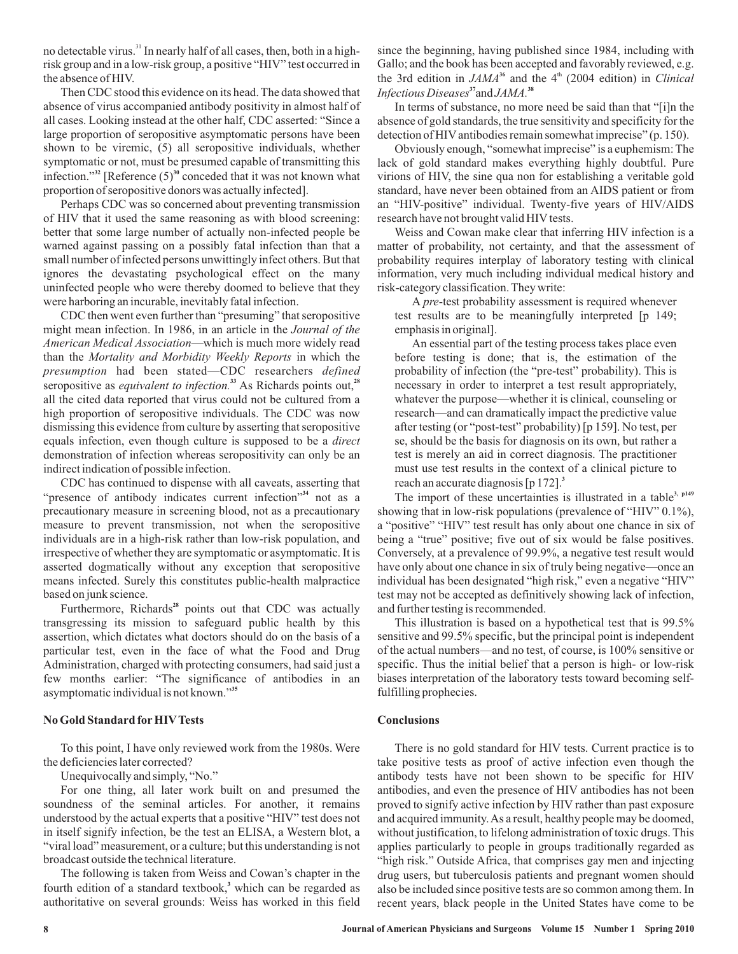no detectable virus.<sup>31</sup> In nearly half of all cases, then, both in a highrisk group and in a low-risk group, a positive "HIV" test occurred in the absence of HIV.

Then CDC stood this evidence on its head. The data showed that absence of virus accompanied antibody positivity in almost half of all cases. Looking instead at the other half, CDC asserted: "Since a large proportion of seropositive asymptomatic persons have been shown to be viremic, (5) all seropositive individuals, whether symptomatic or not, must be presumed capable of transmitting this infection."<sup>32</sup> [Reference  $(5)^{30}$  conceded that it was not known what proportion of seropositive donors was actually infected].

Perhaps CDC was so concerned about preventing transmission of HIV that it used the same reasoning as with blood screening: better that some large number of actually non-infected people be warned against passing on a possibly fatal infection than that a small number of infected persons unwittingly infect others. But that ignores the devastating psychological effect on the many uninfected people who were thereby doomed to believe that they were harboring an incurable, inevitably fatal infection.

CDC then went even further than "presuming" that seropositive might mean infection. In 1986, in an article in the *Journal of the* American Medical Association-which is much more widely read than the Mortality and Morbidity Weekly Reports in which the presumption had been stated—CDC researchers *defined* seropositive as *equivalent to infection*.<sup>33</sup> As Richards points out,<sup>28</sup> all the cited data reported that virus could not be cultured from a high proportion of seropositive individuals. The CDC was now dismissing this evidence from culture by asserting that seropositive equals infection, even though culture is supposed to be a *direct* demonstration of infection whereas seropositivity can only be an indirect indication of possible infection.

CDC has continued to dispense with all caveats, asserting that "presence of antibody indicates current infection"<sup>34</sup> not as a precautionary measure in screening blood, not as a precautionary measure to prevent transmission, not when the seropositive individuals are in a high-risk rather than low-risk population, and irrespective of whether they are symptomatic or asymptomatic. It is asserted dogmatically without any exception that seropositive means infected. Surely this constitutes public-health malpractice based on junk science.

Furthermore, Richards<sup>28</sup> points out that CDC was actually transgressing its mission to safeguard public health by this assertion, which dictates what doctors should do on the basis of a particular test, even in the face of what the Food and Drug Administration, charged with protecting consumers, had said just a few months earlier: "The significance of antibodies in an asymptomatic individual is not known." **35**

#### **No Gold Standard for HIVTests**

To this point, I have only reviewed work from the 1980s. Were the deficiencies later corrected?

Unequivocally and simply, "No."

For one thing, all later work built on and presumed the soundness of the seminal articles. For another, it remains understood by the actual experts that a positive "HIV" test does not in itself signify infection, be the test an ELISA, a Western blot, a "viral load" measurement, or a culture; but this understanding is not broadcast outside the technical literature.

The following is taken from Weiss and Cowan's chapter in the fourth edition of a standard textbook,<sup>3</sup> which can be regarded as authoritative on several grounds: Weiss has worked in this field since the beginning, having published since 1984, including with Gallo; and the book has been accepted and favorably reviewed, e.g. the 3rd edition in  $JAMA^{36}$  and the 4<sup>th</sup> (2004 edition) in *Clinical Infectious Diseases*<sup>37</sup> and *JAMA*.<sup>38</sup>

In terms of substance, no more need be said than that "[i]n the absence of gold standards, the true sensitivity and specificity for the detection of HIV antibodies remain somewhat imprecise" (p. 150).

Obviously enough, "somewhat imprecise" is a euphemism: The lack of gold standard makes everything highly doubtful. Pure virions of HIV, the sine qua non for establishing a veritable gold standard, have never been obtained from an AIDS patient or from an "HIV-positive" individual. Twenty-five years of HIV/AIDS research have not brought valid HIV tests.

Weiss and Cowan make clear that inferring HIV infection is a matter of probability, not certainty, and that the assessment of probability requires interplay of laboratory testing with clinical information, very much including individual medical history and risk-category classification. They write:

A pre-test probability assessment is required whenever test results are to be meaningfully interpreted [p 149; emphasis in original].

An essential part of the testing process takes place even before testing is done; that is, the estimation of the probability of infection (the "pre-test" probability). This is necessary in order to interpret a test result appropriately, whatever the purpose—whether it is clinical, counseling or research—and can dramatically impact the predictive value after testing (or "post-test" probability) [p 159]. No test, per se, should be the basis for diagnosis on its own, but rather a test is merely an aid in correct diagnosis. The practitioner must use test results in the context of a clinical picture to reach an accurate diagnosis [p 172]. **3**

The import of these uncertainties is illustrated in a table<sup>3, p149</sup> showing that in low-risk populations (prevalence of "HIV" 0.1%), a "positive" "HIV" test result has only about one chance in six of being a "true" positive; five out of six would be false positives. Conversely, at a prevalence of 99.9%, a negative test result would have only about one chance in six of truly being negative—once an individual has been designated "high risk," even a negative "HIV" test may not be accepted as definitively showing lack of infection, and further testing is recommended.

This illustration is based on a hypothetical test that is 99.5% sensitive and 99.5% specific, but the principal point is independent of the actual numbers—and no test, of course, is 100% sensitive or specific. Thus the initial belief that a person is high- or low-risk biases interpretation of the laboratory tests toward becoming selffulfilling prophecies.

#### **Conclusions**

There is no gold standard for HIV tests. Current practice is to take positive tests as proof of active infection even though the antibody tests have not been shown to be specific for HIV antibodies, and even the presence of HIV antibodies has not been proved to signify active infection by HIV rather than past exposure and acquired immunity.As a result, healthy people may be doomed, without justification, to lifelong administration of toxic drugs. This applies particularly to people in groups traditionally regarded as "high risk." Outside Africa, that comprises gay men and injecting drug users, but tuberculosis patients and pregnant women should also be included since positive tests are so common among them. In recent years, black people in the United States have come to be